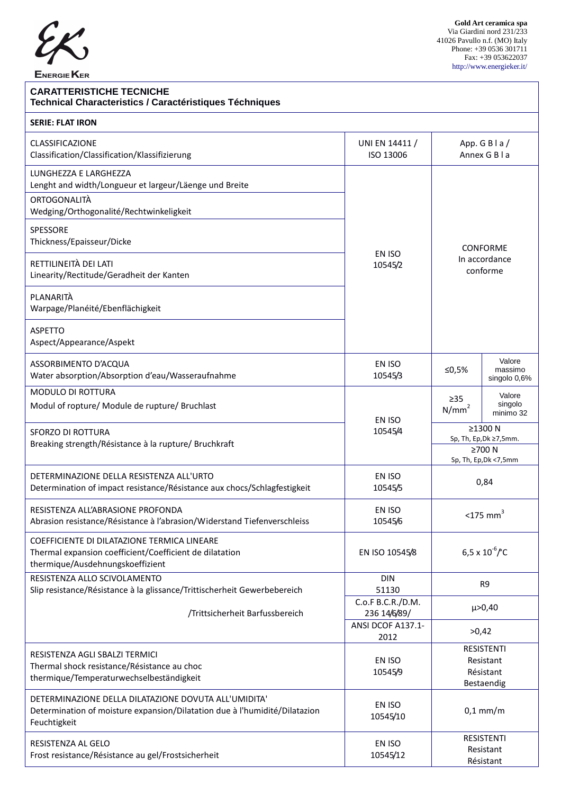

ENERGIE KER

 **Gold Art ceramica spa** Via Giardini nord 231/233 41026 Pavullo n.f. (MO) Italy Phone: +39 0536 301711 Fax: +39 053622037 http://www.energieker.it/

## **CARATTERISTICHE TECNICHE Technical Characteristics / Caractéristiques Téchniques**

| <b>SERIE: FLAT IRON</b>                                                                                                                            |                                      |                                                                        |                                   |
|----------------------------------------------------------------------------------------------------------------------------------------------------|--------------------------------------|------------------------------------------------------------------------|-----------------------------------|
| <b>CLASSIFICAZIONE</b><br>Classification/Classification/Klassifizierung                                                                            | UNI EN 14411 /<br>ISO 13006          | App. $G$ B $\mid a \mid$<br>Annex G B I a                              |                                   |
| LUNGHEZZA E LARGHEZZA<br>Lenght and width/Longueur et largeur/Läenge und Breite                                                                    |                                      | <b>CONFORME</b>                                                        |                                   |
| ORTOGONALITÀ<br>Wedging/Orthogonalité/Rechtwinkeligkeit                                                                                            |                                      |                                                                        |                                   |
| SPESSORE<br>Thickness/Epaisseur/Dicke                                                                                                              | EN ISO                               |                                                                        |                                   |
| RETTILINEITÀ DEI LATI<br>Linearity/Rectitude/Geradheit der Kanten                                                                                  | In accordance<br>10545/2<br>conforme |                                                                        |                                   |
| PLANARITÀ<br>Warpage/Planéité/Ebenflächigkeit                                                                                                      |                                      |                                                                        |                                   |
| <b>ASPETTO</b><br>Aspect/Appearance/Aspekt                                                                                                         |                                      |                                                                        |                                   |
| ASSORBIMENTO D'ACQUA<br>Water absorption/Absorption d'eau/Wasseraufnahme                                                                           | EN ISO<br>10545/3                    | ≤0,5%                                                                  | Valore<br>massimo<br>singolo 0,6% |
| MODULO DI ROTTURA<br>Modul of ropture/ Module de rupture/ Bruchlast                                                                                | EN ISO                               | $\geq$ 35<br>N/mm <sup>2</sup>                                         | Valore<br>singolo<br>minimo 32    |
| <b>SFORZO DI ROTTURA</b><br>Breaking strength/Résistance à la rupture/ Bruchkraft                                                                  | 10545/4                              | ≥1300 N<br>Sp, Th, Ep, Dk ≥7,5mm.<br>≥700 N<br>Sp, Th, Ep, Dk < 7, 5mm |                                   |
| DETERMINAZIONE DELLA RESISTENZA ALL'URTO<br>Determination of impact resistance/Résistance aux chocs/Schlagfestigkeit                               | EN ISO<br>10545/5                    | 0,84                                                                   |                                   |
| RESISTENZA ALL'ABRASIONE PROFONDA<br>Abrasion resistance/Résistance à l'abrasion/Widerstand Tiefenverschleiss                                      | EN ISO<br>10545/6                    | $<$ 175 mm <sup>3</sup>                                                |                                   |
| COEFFICIENTE DI DILATAZIONE TERMICA LINEARE<br>Thermal expansion coefficient/Coefficient de dilatation<br>thermique/Ausdehnungskoeffizient         | EN ISO 10545/8                       | $6.5 \times 10^{-6}$ <sup>e</sup> C                                    |                                   |
| RESISTENZA ALLO SCIVOLAMENTO<br>Slip resistance/Résistance à la glissance/Trittischerheit Gewerbebereich                                           | <b>DIN</b><br>51130                  | R9                                                                     |                                   |
| /Trittsicherheit Barfussbereich                                                                                                                    | C.o.F B.C.R./D.M.<br>236 14/6/89/    |                                                                        | $\mu > 0,40$                      |
|                                                                                                                                                    | ANSI DCOF A137.1-<br>2012            | >0,42                                                                  |                                   |
| RESISTENZA AGLI SBALZI TERMICI<br>Thermal shock resistance/Résistance au choc<br>thermique/Temperaturwechselbeständigkeit                          | EN ISO<br>10545/9                    | <b>RESISTENTI</b><br>Resistant<br>Résistant<br>Bestaendig              |                                   |
| DETERMINAZIONE DELLA DILATAZIONE DOVUTA ALL'UMIDITA'<br>Determination of moisture expansion/Dilatation due à l'humidité/Dilatazion<br>Feuchtigkeit | EN ISO<br>10545/10                   | $0,1$ mm/m                                                             |                                   |
| RESISTENZA AL GELO<br>Frost resistance/Résistance au gel/Frostsicherheit                                                                           | EN ISO<br>10545/12                   | <b>RESISTENTI</b><br>Resistant<br>Résistant                            |                                   |